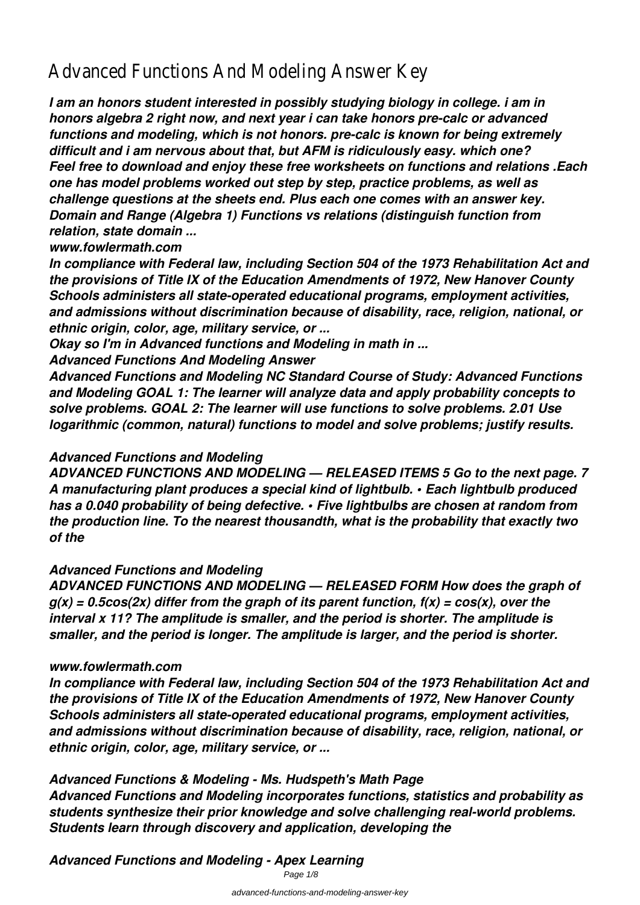# Advanced Functions And Modeling Answer Key

*I am an honors student interested in possibly studying biology in college. i am in honors algebra 2 right now, and next year i can take honors pre-calc or advanced functions and modeling, which is not honors. pre-calc is known for being extremely difficult and i am nervous about that, but AFM is ridiculously easy. which one? Feel free to download and enjoy these free worksheets on functions and relations .Each one has model problems worked out step by step, practice problems, as well as challenge questions at the sheets end. Plus each one comes with an answer key. Domain and Range (Algebra 1) Functions vs relations (distinguish function from relation, state domain ...*

#### *www.fowlermath.com*

*In compliance with Federal law, including Section 504 of the 1973 Rehabilitation Act and the provisions of Title IX of the Education Amendments of 1972, New Hanover County Schools administers all state-operated educational programs, employment activities, and admissions without discrimination because of disability, race, religion, national, or ethnic origin, color, age, military service, or ...*

*Okay so I'm in Advanced functions and Modeling in math in ...*

*Advanced Functions And Modeling Answer*

*Advanced Functions and Modeling NC Standard Course of Study: Advanced Functions and Modeling GOAL 1: The learner will analyze data and apply probability concepts to solve problems. GOAL 2: The learner will use functions to solve problems. 2.01 Use logarithmic (common, natural) functions to model and solve problems; justify results.*

#### *Advanced Functions and Modeling*

*ADVANCED FUNCTIONS AND MODELING — RELEASED ITEMS 5 Go to the next page. 7 A manufacturing plant produces a special kind of lightbulb. • Each lightbulb produced has a 0.040 probability of being defective. • Five lightbulbs are chosen at random from the production line. To the nearest thousandth, what is the probability that exactly two of the*

#### *Advanced Functions and Modeling*

*ADVANCED FUNCTIONS AND MODELING — RELEASED FORM How does the graph of g(x) = 0.5cos(2x) differ from the graph of its parent function, f(x) = cos(x), over the interval x 11? The amplitude is smaller, and the period is shorter. The amplitude is smaller, and the period is longer. The amplitude is larger, and the period is shorter.*

#### *www.fowlermath.com*

*In compliance with Federal law, including Section 504 of the 1973 Rehabilitation Act and the provisions of Title IX of the Education Amendments of 1972, New Hanover County Schools administers all state-operated educational programs, employment activities, and admissions without discrimination because of disability, race, religion, national, or ethnic origin, color, age, military service, or ...*

*Advanced Functions & Modeling - Ms. Hudspeth's Math Page Advanced Functions and Modeling incorporates functions, statistics and probability as students synthesize their prior knowledge and solve challenging real-world problems. Students learn through discovery and application, developing the*

*Advanced Functions and Modeling - Apex Learning*

Page  $1/8$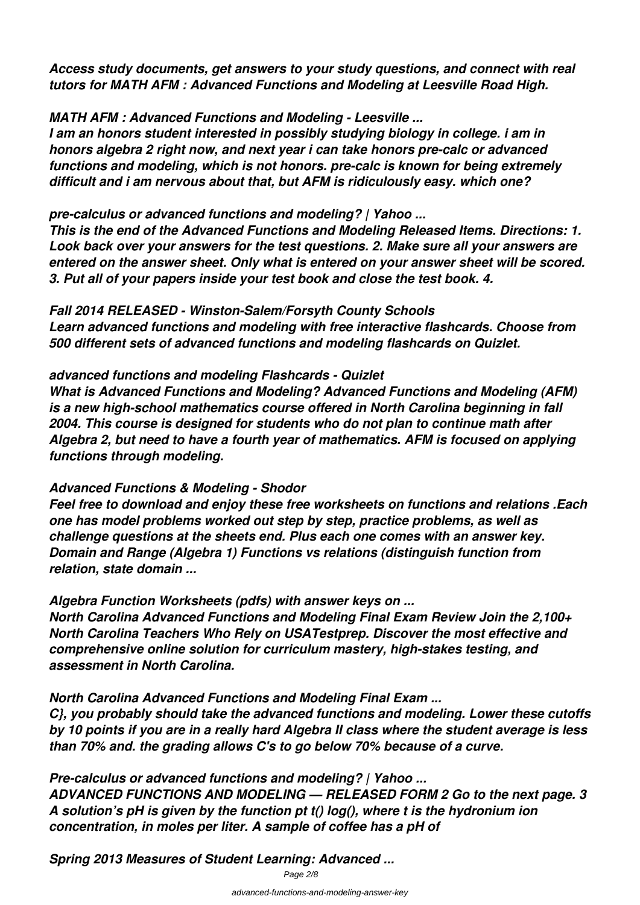*Access study documents, get answers to your study questions, and connect with real tutors for MATH AFM : Advanced Functions and Modeling at Leesville Road High.*

*MATH AFM : Advanced Functions and Modeling - Leesville ...*

*I am an honors student interested in possibly studying biology in college. i am in honors algebra 2 right now, and next year i can take honors pre-calc or advanced functions and modeling, which is not honors. pre-calc is known for being extremely difficult and i am nervous about that, but AFM is ridiculously easy. which one?*

*pre-calculus or advanced functions and modeling? | Yahoo ...*

*This is the end of the Advanced Functions and Modeling Released Items. Directions: 1. Look back over your answers for the test questions. 2. Make sure all your answers are entered on the answer sheet. Only what is entered on your answer sheet will be scored. 3. Put all of your papers inside your test book and close the test book. 4.*

*Fall 2014 RELEASED - Winston-Salem/Forsyth County Schools Learn advanced functions and modeling with free interactive flashcards. Choose from 500 different sets of advanced functions and modeling flashcards on Quizlet.*

*advanced functions and modeling Flashcards - Quizlet*

*What is Advanced Functions and Modeling? Advanced Functions and Modeling (AFM) is a new high-school mathematics course offered in North Carolina beginning in fall 2004. This course is designed for students who do not plan to continue math after Algebra 2, but need to have a fourth year of mathematics. AFM is focused on applying functions through modeling.*

#### *Advanced Functions & Modeling - Shodor*

*Feel free to download and enjoy these free worksheets on functions and relations .Each one has model problems worked out step by step, practice problems, as well as challenge questions at the sheets end. Plus each one comes with an answer key. Domain and Range (Algebra 1) Functions vs relations (distinguish function from relation, state domain ...*

*Algebra Function Worksheets (pdfs) with answer keys on ...*

*North Carolina Advanced Functions and Modeling Final Exam Review Join the 2,100+ North Carolina Teachers Who Rely on USATestprep. Discover the most effective and comprehensive online solution for curriculum mastery, high-stakes testing, and assessment in North Carolina.*

*North Carolina Advanced Functions and Modeling Final Exam ...*

*C}, you probably should take the advanced functions and modeling. Lower these cutoffs by 10 points if you are in a really hard Algebra II class where the student average is less than 70% and. the grading allows C's to go below 70% because of a curve.*

*Pre-calculus or advanced functions and modeling? | Yahoo ... ADVANCED FUNCTIONS AND MODELING — RELEASED FORM 2 Go to the next page. 3 A solution's pH is given by the function pt t() log(), where t is the hydronium ion concentration, in moles per liter. A sample of coffee has a pH of*

*Spring 2013 Measures of Student Learning: Advanced ...*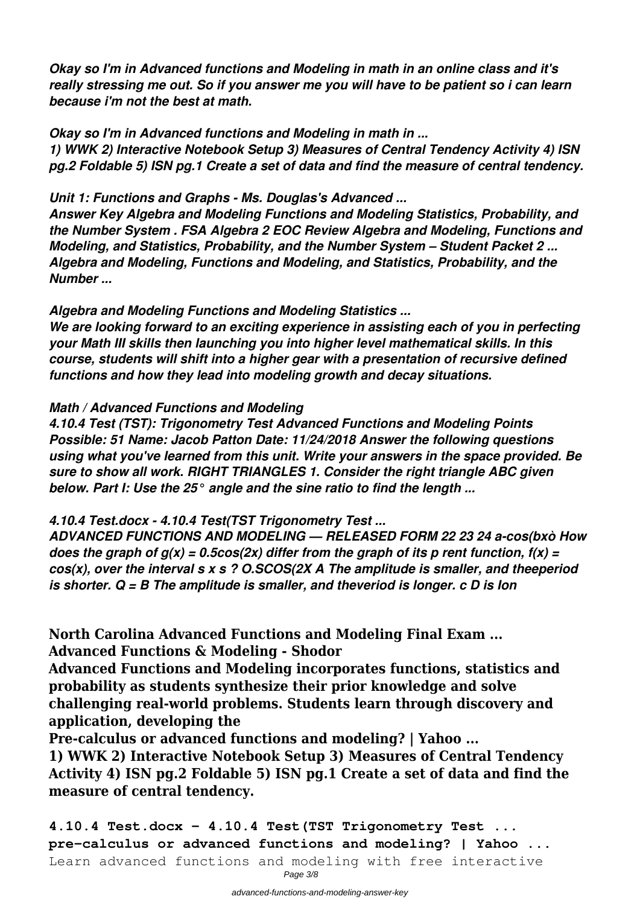*Okay so I'm in Advanced functions and Modeling in math in an online class and it's really stressing me out. So if you answer me you will have to be patient so i can learn because i'm not the best at math.*

*Okay so I'm in Advanced functions and Modeling in math in ...*

*1) WWK 2) Interactive Notebook Setup 3) Measures of Central Tendency Activity 4) ISN pg.2 Foldable 5) ISN pg.1 Create a set of data and find the measure of central tendency.*

*Unit 1: Functions and Graphs - Ms. Douglas's Advanced ...*

*Answer Key Algebra and Modeling Functions and Modeling Statistics, Probability, and the Number System . FSA Algebra 2 EOC Review Algebra and Modeling, Functions and Modeling, and Statistics, Probability, and the Number System – Student Packet 2 ... Algebra and Modeling, Functions and Modeling, and Statistics, Probability, and the Number ...*

*Algebra and Modeling Functions and Modeling Statistics ... We are looking forward to an exciting experience in assisting each of you in perfecting your Math III skills then launching you into higher level mathematical skills. In this course, students will shift into a higher gear with a presentation of recursive defined functions and how they lead into modeling growth and decay situations.*

#### *Math / Advanced Functions and Modeling*

*4.10.4 Test (TST): Trigonometry Test Advanced Functions and Modeling Points Possible: 51 Name: Jacob Patton Date: 11/24/2018 Answer the following questions using what you've learned from this unit. Write your answers in the space provided. Be sure to show all work. RIGHT TRIANGLES 1. Consider the right triangle ABC given below. Part I: Use the 25° angle and the sine ratio to find the length ...*

*4.10.4 Test.docx - 4.10.4 Test(TST Trigonometry Test ...*

*ADVANCED FUNCTIONS AND MODELING — RELEASED FORM 22 23 24 a-cos(bxò How does the graph of g(x) = 0.5cos(2x) differ from the graph of its p rent function, f(x) = cos(x), over the interval s x s ? O.SCOS(2X A The amplitude is smaller, and theeperiod is shorter. Q = B The amplitude is smaller, and theveriod is longer. c D is Ion*

**North Carolina Advanced Functions and Modeling Final Exam ... Advanced Functions & Modeling - Shodor**

**Advanced Functions and Modeling incorporates functions, statistics and probability as students synthesize their prior knowledge and solve challenging real-world problems. Students learn through discovery and application, developing the**

**Pre-calculus or advanced functions and modeling? | Yahoo ...**

**1) WWK 2) Interactive Notebook Setup 3) Measures of Central Tendency Activity 4) ISN pg.2 Foldable 5) ISN pg.1 Create a set of data and find the measure of central tendency.**

**4.10.4 Test.docx - 4.10.4 Test(TST Trigonometry Test ... pre-calculus or advanced functions and modeling? | Yahoo ...** Learn advanced functions and modeling with free interactive

Page 3/8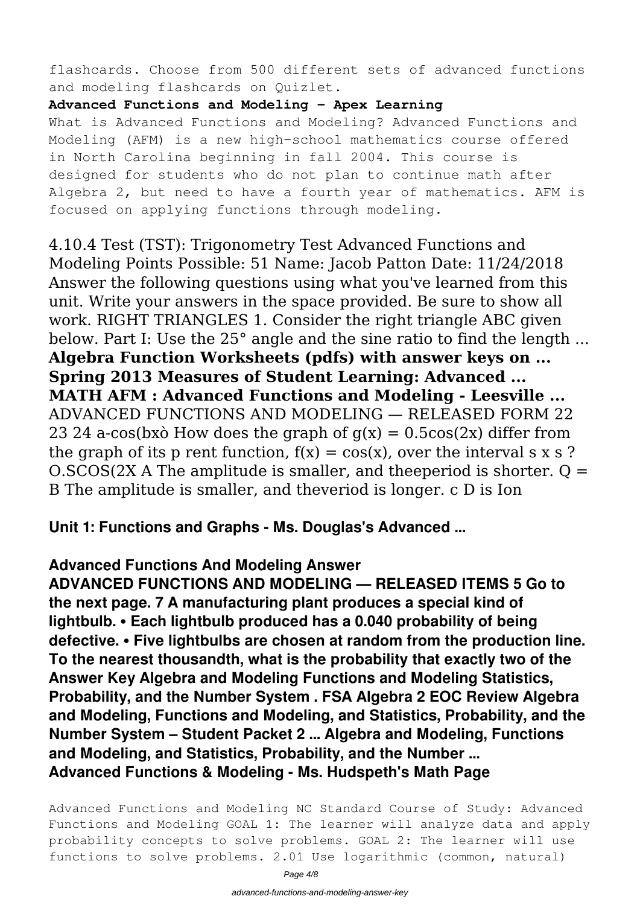flashcards. Choose from 500 different sets of advanced functions and modeling flashcards on Quizlet.

#### **Advanced Functions and Modeling - Apex Learning**

What is Advanced Functions and Modeling? Advanced Functions and Modeling (AFM) is a new high-school mathematics course offered in North Carolina beginning in fall 2004. This course is designed for students who do not plan to continue math after Algebra 2, but need to have a fourth year of mathematics. AFM is focused on applying functions through modeling.

4.10.4 Test (TST): Trigonometry Test Advanced Functions and Modeling Points Possible: 51 Name: Jacob Patton Date: 11/24/2018 Answer the following questions using what you've learned from this unit. Write your answers in the space provided. Be sure to show all work. RIGHT TRIANGLES 1. Consider the right triangle ABC given below. Part I: Use the 25° angle and the sine ratio to find the length ... **Algebra Function Worksheets (pdfs) with answer keys on ... Spring 2013 Measures of Student Learning: Advanced ... MATH AFM : Advanced Functions and Modeling - Leesville ...** ADVANCED FUNCTIONS AND MODELING — RELEASED FORM 22 23 24 a-cos(bx $\delta$  How does the graph of  $q(x) = 0.5\cos(2x)$  differ from the graph of its p rent function,  $f(x) = cos(x)$ , over the interval s x s ?  $O.5COS(2X A)$  The amplitude is smaller, and theeperiod is shorter. Q = B The amplitude is smaller, and theveriod is longer. c D is Ion

**Unit 1: Functions and Graphs - Ms. Douglas's Advanced ...**

### **Advanced Functions And Modeling Answer**

**ADVANCED FUNCTIONS AND MODELING — RELEASED ITEMS 5 Go to the next page. 7 A manufacturing plant produces a special kind of lightbulb. • Each lightbulb produced has a 0.040 probability of being defective. • Five lightbulbs are chosen at random from the production line. To the nearest thousandth, what is the probability that exactly two of the Answer Key Algebra and Modeling Functions and Modeling Statistics, Probability, and the Number System . FSA Algebra 2 EOC Review Algebra and Modeling, Functions and Modeling, and Statistics, Probability, and the Number System – Student Packet 2 ... Algebra and Modeling, Functions and Modeling, and Statistics, Probability, and the Number ... Advanced Functions & Modeling - Ms. Hudspeth's Math Page**

Advanced Functions and Modeling NC Standard Course of Study: Advanced Functions and Modeling GOAL 1: The learner will analyze data and apply probability concepts to solve problems. GOAL 2: The learner will use functions to solve problems. 2.01 Use logarithmic (common, natural)

Page 4/8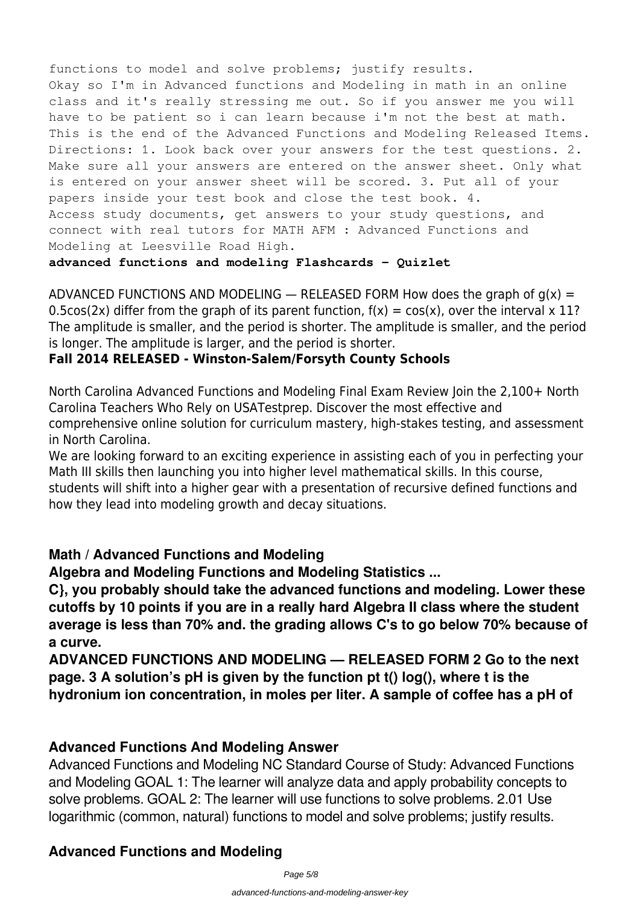functions to model and solve problems; justify results. Okay so I'm in Advanced functions and Modeling in math in an online class and it's really stressing me out. So if you answer me you will have to be patient so i can learn because i'm not the best at math. This is the end of the Advanced Functions and Modeling Released Items. Directions: 1. Look back over your answers for the test questions. 2. Make sure all your answers are entered on the answer sheet. Only what is entered on your answer sheet will be scored. 3. Put all of your papers inside your test book and close the test book. 4. Access study documents, get answers to your study questions, and connect with real tutors for MATH AFM : Advanced Functions and Modeling at Leesville Road High.

**advanced functions and modeling Flashcards - Quizlet**

ADVANCED FUNCTIONS AND MODELING  $-$  RELEASED FORM How does the graph of  $g(x) =$ 0.5cos(2x) differ from the graph of its parent function,  $f(x) = cos(x)$ , over the interval x 11? The amplitude is smaller, and the period is shorter. The amplitude is smaller, and the period is longer. The amplitude is larger, and the period is shorter.

#### **Fall 2014 RELEASED - Winston-Salem/Forsyth County Schools**

North Carolina Advanced Functions and Modeling Final Exam Review Join the 2,100+ North Carolina Teachers Who Rely on USATestprep. Discover the most effective and comprehensive online solution for curriculum mastery, high-stakes testing, and assessment in North Carolina.

We are looking forward to an exciting experience in assisting each of you in perfecting your Math III skills then launching you into higher level mathematical skills. In this course, students will shift into a higher gear with a presentation of recursive defined functions and how they lead into modeling growth and decay situations.

#### **Math / Advanced Functions and Modeling**

**Algebra and Modeling Functions and Modeling Statistics ...**

**C}, you probably should take the advanced functions and modeling. Lower these cutoffs by 10 points if you are in a really hard Algebra II class where the student average is less than 70% and. the grading allows C's to go below 70% because of a curve.**

**ADVANCED FUNCTIONS AND MODELING — RELEASED FORM 2 Go to the next page. 3 A solution's pH is given by the function pt t() log(), where t is the hydronium ion concentration, in moles per liter. A sample of coffee has a pH of**

#### **Advanced Functions And Modeling Answer**

Advanced Functions and Modeling NC Standard Course of Study: Advanced Functions and Modeling GOAL 1: The learner will analyze data and apply probability concepts to solve problems. GOAL 2: The learner will use functions to solve problems. 2.01 Use logarithmic (common, natural) functions to model and solve problems; justify results.

#### **Advanced Functions and Modeling**

Page 5/8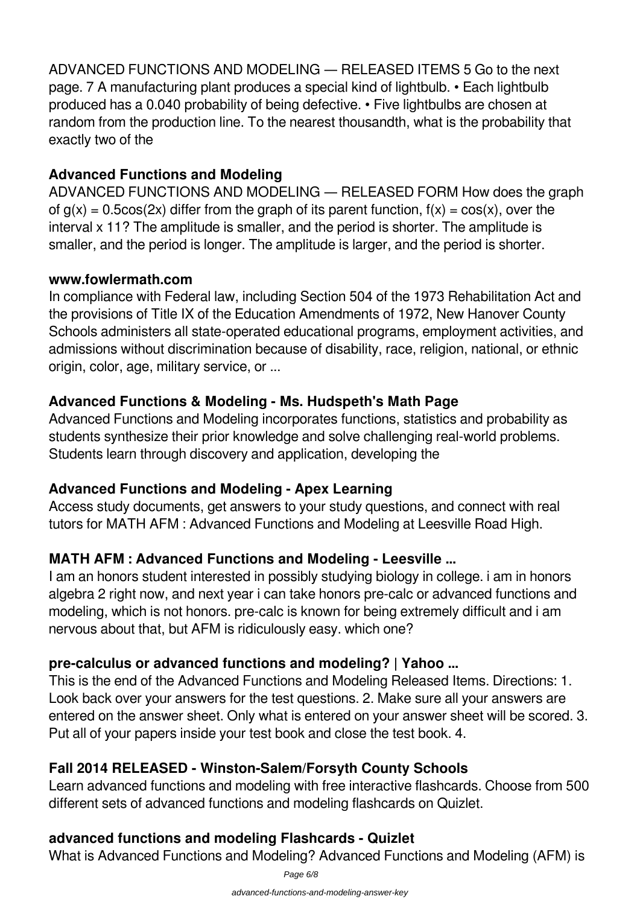ADVANCED FUNCTIONS AND MODELING — RELEASED ITEMS 5 Go to the next page. 7 A manufacturing plant produces a special kind of lightbulb. • Each lightbulb produced has a 0.040 probability of being defective. • Five lightbulbs are chosen at random from the production line. To the nearest thousandth, what is the probability that exactly two of the

# **Advanced Functions and Modeling**

ADVANCED FUNCTIONS AND MODELING — RELEASED FORM How does the graph of  $g(x) = 0.5\cos(2x)$  differ from the graph of its parent function,  $f(x) = \cos(x)$ , over the interval x 11? The amplitude is smaller, and the period is shorter. The amplitude is smaller, and the period is longer. The amplitude is larger, and the period is shorter.

#### **www.fowlermath.com**

In compliance with Federal law, including Section 504 of the 1973 Rehabilitation Act and the provisions of Title IX of the Education Amendments of 1972, New Hanover County Schools administers all state-operated educational programs, employment activities, and admissions without discrimination because of disability, race, religion, national, or ethnic origin, color, age, military service, or ...

# **Advanced Functions & Modeling - Ms. Hudspeth's Math Page**

Advanced Functions and Modeling incorporates functions, statistics and probability as students synthesize their prior knowledge and solve challenging real-world problems. Students learn through discovery and application, developing the

### **Advanced Functions and Modeling - Apex Learning**

Access study documents, get answers to your study questions, and connect with real tutors for MATH AFM : Advanced Functions and Modeling at Leesville Road High.

### **MATH AFM : Advanced Functions and Modeling - Leesville ...**

I am an honors student interested in possibly studying biology in college. i am in honors algebra 2 right now, and next year i can take honors pre-calc or advanced functions and modeling, which is not honors. pre-calc is known for being extremely difficult and i am nervous about that, but AFM is ridiculously easy. which one?

# **pre-calculus or advanced functions and modeling? | Yahoo ...**

This is the end of the Advanced Functions and Modeling Released Items. Directions: 1. Look back over your answers for the test questions. 2. Make sure all your answers are entered on the answer sheet. Only what is entered on your answer sheet will be scored. 3. Put all of your papers inside your test book and close the test book. 4.

# **Fall 2014 RELEASED - Winston-Salem/Forsyth County Schools**

Learn advanced functions and modeling with free interactive flashcards. Choose from 500 different sets of advanced functions and modeling flashcards on Quizlet.

# **advanced functions and modeling Flashcards - Quizlet**

What is Advanced Functions and Modeling? Advanced Functions and Modeling (AFM) is

Page 6/8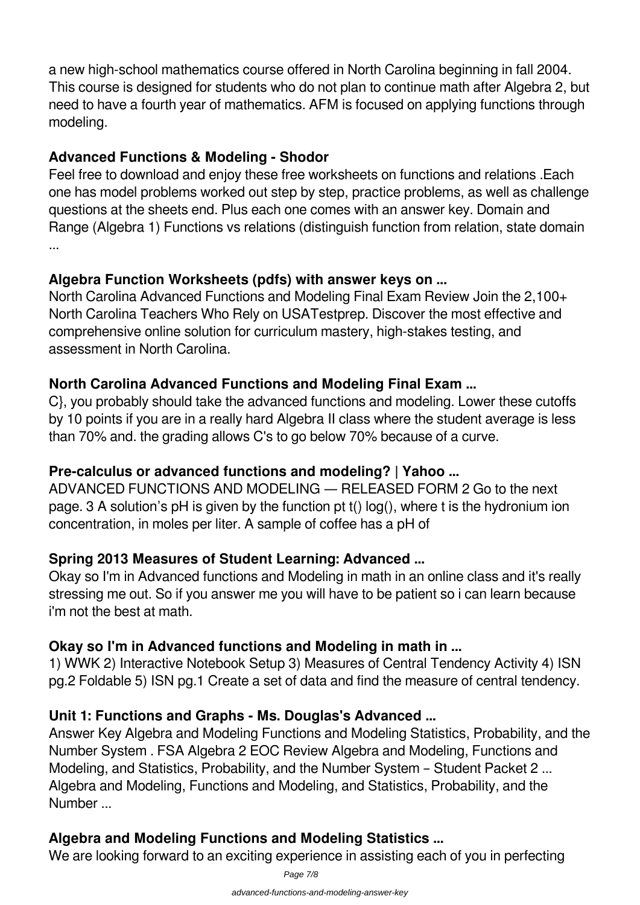a new high-school mathematics course offered in North Carolina beginning in fall 2004. This course is designed for students who do not plan to continue math after Algebra 2, but need to have a fourth year of mathematics. AFM is focused on applying functions through modeling.

### **Advanced Functions & Modeling - Shodor**

Feel free to download and enjoy these free worksheets on functions and relations .Each one has model problems worked out step by step, practice problems, as well as challenge questions at the sheets end. Plus each one comes with an answer key. Domain and Range (Algebra 1) Functions vs relations (distinguish function from relation, state domain ...

# **Algebra Function Worksheets (pdfs) with answer keys on ...**

North Carolina Advanced Functions and Modeling Final Exam Review Join the 2,100+ North Carolina Teachers Who Rely on USATestprep. Discover the most effective and comprehensive online solution for curriculum mastery, high-stakes testing, and assessment in North Carolina.

### **North Carolina Advanced Functions and Modeling Final Exam ...**

C}, you probably should take the advanced functions and modeling. Lower these cutoffs by 10 points if you are in a really hard Algebra II class where the student average is less than 70% and. the grading allows C's to go below 70% because of a curve.

### **Pre-calculus or advanced functions and modeling? | Yahoo ...**

ADVANCED FUNCTIONS AND MODELING — RELEASED FORM 2 Go to the next page. 3 A solution's pH is given by the function pt t() log(), where t is the hydronium ion concentration, in moles per liter. A sample of coffee has a pH of

### **Spring 2013 Measures of Student Learning: Advanced ...**

Okay so I'm in Advanced functions and Modeling in math in an online class and it's really stressing me out. So if you answer me you will have to be patient so i can learn because i'm not the best at math.

### **Okay so I'm in Advanced functions and Modeling in math in ...**

1) WWK 2) Interactive Notebook Setup 3) Measures of Central Tendency Activity 4) ISN pg.2 Foldable 5) ISN pg.1 Create a set of data and find the measure of central tendency.

### **Unit 1: Functions and Graphs - Ms. Douglas's Advanced ...**

Answer Key Algebra and Modeling Functions and Modeling Statistics, Probability, and the Number System . FSA Algebra 2 EOC Review Algebra and Modeling, Functions and Modeling, and Statistics, Probability, and the Number System – Student Packet 2 ... Algebra and Modeling, Functions and Modeling, and Statistics, Probability, and the Number ...

# **Algebra and Modeling Functions and Modeling Statistics ...**

We are looking forward to an exciting experience in assisting each of you in perfecting